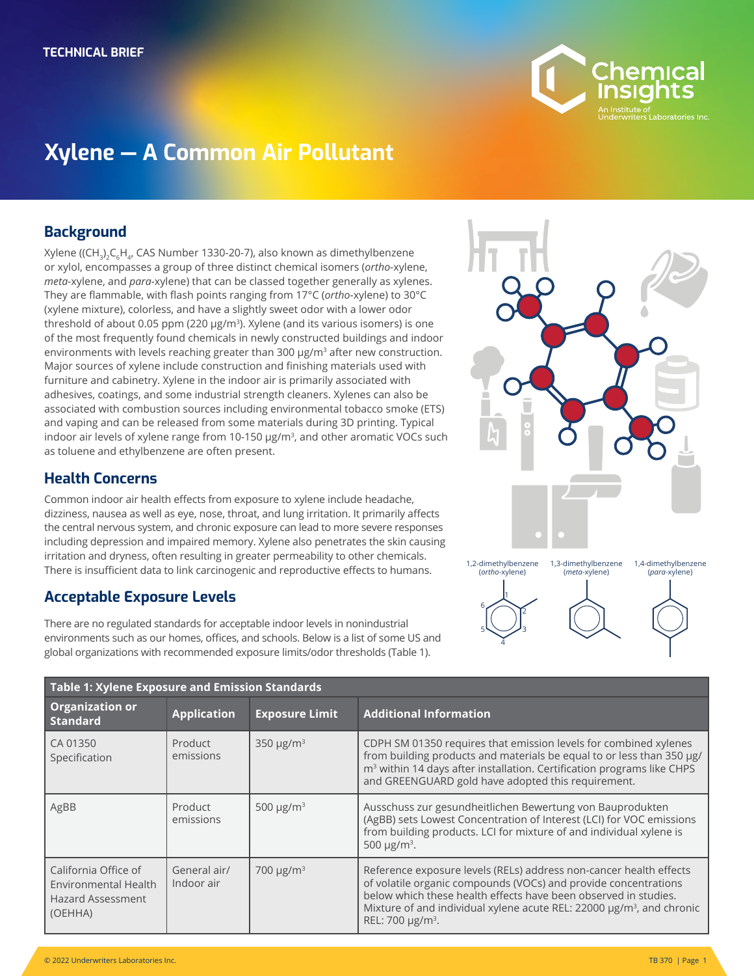

# **Xylene — A Common Air Pollutant**

#### **Background**

Xylene ((CH<sub>3</sub>)<sub>2</sub>C<sub>6</sub>H<sub>4</sub>, CAS Number 1330-20-7), also known as dimethylbenzene or xylol, encompasses a group of three distinct chemical isomers (*ortho-*xylene, *meta-*xylene, and *para-*xylene) that can be classed together generally as xylenes. They are flammable, with flash points ranging from 17°C (*ortho*-xylene) to 30°C (xylene mixture), colorless, and have a slightly sweet odor with a lower odor threshold of about 0.05 ppm (220  $\mu$ g/m<sup>3</sup>). Xylene (and its various isomers) is one of the most frequently found chemicals in newly constructed buildings and indoor environments with levels reaching greater than 300 µg/m<sup>3</sup> after new construction. Major sources of xylene include construction and finishing materials used with furniture and cabinetry. Xylene in the indoor air is primarily associated with adhesives, coatings, and some industrial strength cleaners. Xylenes can also be associated with combustion sources including environmental tobacco smoke (ETS) and vaping and can be released from some materials during 3D printing. Typical indoor air levels of xylene range from 10-150 µg/m<sup>3</sup>, and other aromatic VOCs such as toluene and ethylbenzene are often present.

## **Health Concerns**

Common indoor air health effects from exposure to xylene include headache, dizziness, nausea as well as eye, nose, throat, and lung irritation. It primarily affects the central nervous system, and chronic exposure can lead to more severe responses including depression and impaired memory. Xylene also penetrates the skin causing irritation and dryness, often resulting in greater permeability to other chemicals. There is insufficient data to link carcinogenic and reproductive effects to humans.

## **Acceptable Exposure Levels**

There are no regulated standards for acceptable indoor levels in nonindustrial environments such as our homes, offices, and schools. Below is a list of some US and global organizations with recommended exposure limits/odor thresholds (Table 1).



| Table 1: Xylene Exposure and Emission Standards                                     |                            |                            |                                                                                                                                                                                                                                                                                                                               |  |
|-------------------------------------------------------------------------------------|----------------------------|----------------------------|-------------------------------------------------------------------------------------------------------------------------------------------------------------------------------------------------------------------------------------------------------------------------------------------------------------------------------|--|
| <b>Organization or</b><br><b>Standard</b>                                           | <b>Application</b>         | <b>Exposure Limit</b>      | <b>Additional Information</b>                                                                                                                                                                                                                                                                                                 |  |
| CA 01350<br>Specification                                                           | Product<br>emissions       | 350 $\mu$ g/m <sup>3</sup> | CDPH SM 01350 requires that emission levels for combined xylenes<br>from building products and materials be equal to or less than 350 µg/<br>m <sup>3</sup> within 14 days after installation. Certification programs like CHPS<br>and GREENGUARD gold have adopted this requirement.                                         |  |
| AgBB                                                                                | Product<br>emissions       | 500 $\mu$ g/m <sup>3</sup> | Ausschuss zur gesundheitlichen Bewertung von Bauprodukten<br>(AgBB) sets Lowest Concentration of Interest (LCI) for VOC emissions<br>from building products. LCI for mixture of and individual xylene is<br>500 $\mu$ g/m <sup>3</sup> .                                                                                      |  |
| California Office of<br>Environmental Health<br><b>Hazard Assessment</b><br>(OEHHA) | General air/<br>Indoor air | 700 $\mu$ g/m <sup>3</sup> | Reference exposure levels (RELs) address non-cancer health effects<br>of volatile organic compounds (VOCs) and provide concentrations<br>below which these health effects have been observed in studies.<br>Mixture of and individual xylene acute REL: 22000 µg/m <sup>3</sup> , and chronic<br>REL: 700 µg/m <sup>3</sup> . |  |